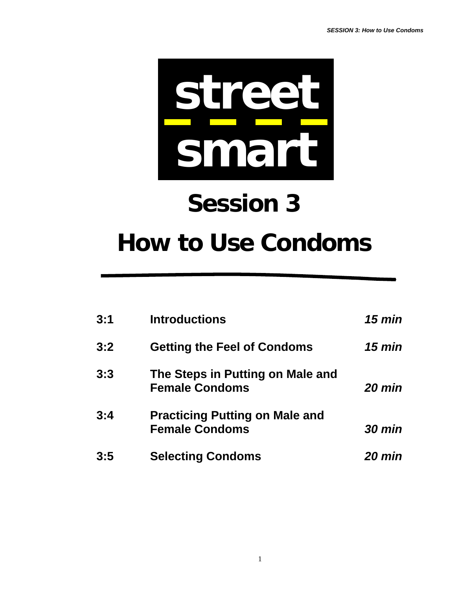

# **Session 3**

# **How to Use Condoms**

| 3:1 | <b>Introductions</b>                                           | <b>15 min</b> |
|-----|----------------------------------------------------------------|---------------|
| 3:2 | <b>Getting the Feel of Condoms</b>                             | 15 min        |
| 3:3 | The Steps in Putting on Male and<br><b>Female Condoms</b>      | 20 min        |
| 3:4 | <b>Practicing Putting on Male and</b><br><b>Female Condoms</b> | <b>30 min</b> |
| 3:5 | <b>Selecting Condoms</b>                                       | <b>20 min</b> |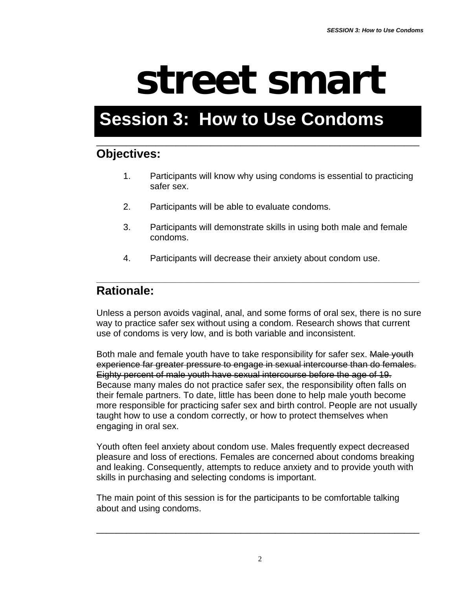# **street smart**

# **Session 3: How to Use Condoms**

### \_\_\_\_\_\_\_\_\_\_\_\_\_\_\_\_\_\_\_\_\_\_\_\_\_\_\_\_\_\_\_\_\_\_\_\_\_\_\_\_\_\_\_\_\_\_\_\_\_\_\_\_\_\_\_\_\_\_\_\_\_\_\_\_\_ **Objectives:**

- 1. Participants will know why using condoms is essential to practicing safer sex.
- 2. Participants will be able to evaluate condoms.
- 3. Participants will demonstrate skills in using both male and female condoms.
- 4. Participants will decrease their anxiety about condom use.

### **\_\_\_\_\_\_\_\_\_\_\_\_\_\_\_\_\_\_\_\_\_\_\_\_\_\_\_\_\_\_\_\_\_\_\_\_\_\_\_\_\_\_\_\_\_\_\_\_\_\_\_\_\_\_\_\_\_\_\_\_\_\_\_\_\_ Rationale:**

Unless a person avoids vaginal, anal, and some forms of oral sex, there is no sure way to practice safer sex without using a condom. Research shows that current use of condoms is very low, and is both variable and inconsistent.

Both male and female youth have to take responsibility for safer sex. Male youth experience far greater pressure to engage in sexual intercourse than do females. Eighty percent of male youth have sexual intercourse before the age of 19. Because many males do not practice safer sex, the responsibility often falls on their female partners. To date, little has been done to help male youth become more responsible for practicing safer sex and birth control. People are not usually taught how to use a condom correctly, or how to protect themselves when engaging in oral sex.

Youth often feel anxiety about condom use. Males frequently expect decreased pleasure and loss of erections. Females are concerned about condoms breaking and leaking. Consequently, attempts to reduce anxiety and to provide youth with skills in purchasing and selecting condoms is important.

The main point of this session is for the participants to be comfortable talking about and using condoms.

\_\_\_\_\_\_\_\_\_\_\_\_\_\_\_\_\_\_\_\_\_\_\_\_\_\_\_\_\_\_\_\_\_\_\_\_\_\_\_\_\_\_\_\_\_\_\_\_\_\_\_\_\_\_\_\_\_\_\_\_\_\_\_\_\_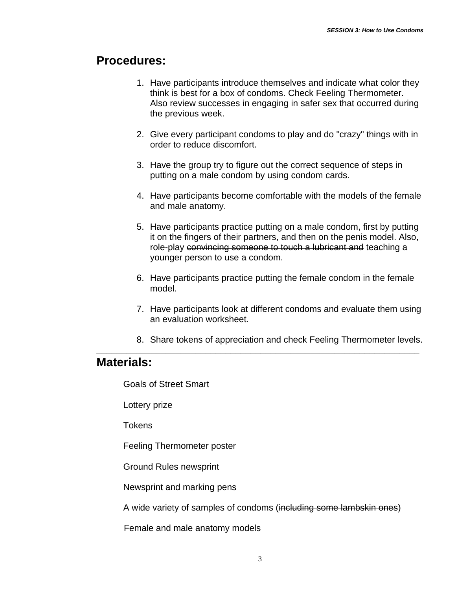### **Procedures:**

- 1. Have participants introduce themselves and indicate what color they think is best for a box of condoms. Check Feeling Thermometer. Also review successes in engaging in safer sex that occurred during the previous week.
- 2. Give every participant condoms to play and do "crazy" things with in order to reduce discomfort.
- 3. Have the group try to figure out the correct sequence of steps in putting on a male condom by using condom cards.
- 4. Have participants become comfortable with the models of the female and male anatomy.
- 5. Have participants practice putting on a male condom, first by putting it on the fingers of their partners, and then on the penis model. Also, role-play convincing someone to touch a lubricant and teaching a younger person to use a condom.
- 6. Have participants practice putting the female condom in the female model.
- 7. Have participants look at different condoms and evaluate them using an evaluation worksheet.
- 8. Share tokens of appreciation and check Feeling Thermometer levels.

**\_\_\_\_\_\_\_\_\_\_\_\_\_\_\_\_\_\_\_\_\_\_\_\_\_\_\_\_\_\_\_\_\_\_\_\_\_\_\_\_\_\_\_\_\_\_\_\_\_\_\_\_\_\_\_\_\_\_\_\_\_\_\_\_\_**

### **Materials:**

Goals of Street Smart

Lottery prize

Tokens

Feeling Thermometer poster

Ground Rules newsprint

Newsprint and marking pens

A wide variety of samples of condoms (including some lambskin ones)

Female and male anatomy models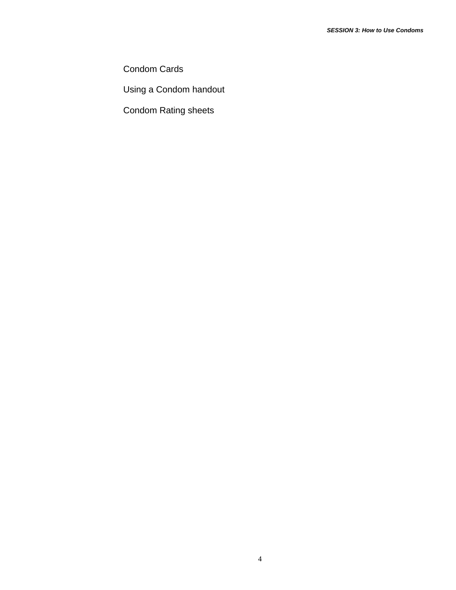Condom Cards

Using a Condom handout

Condom Rating sheets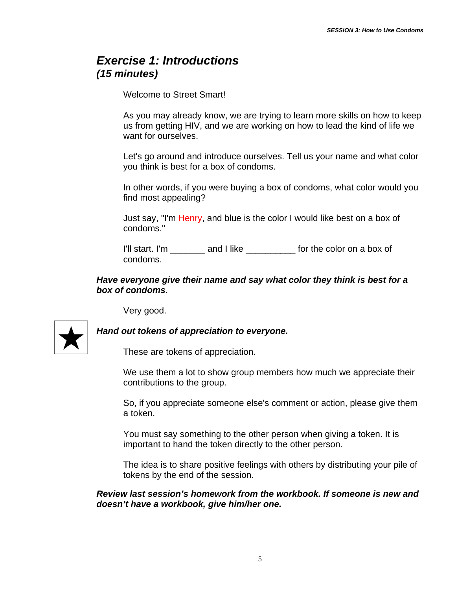### *Exercise 1: Introductions (15 minutes)*

Welcome to Street Smart!

As you may already know, we are trying to learn more skills on how to keep us from getting HIV, and we are working on how to lead the kind of life we want for ourselves.

Let's go around and introduce ourselves. Tell us your name and what color you think is best for a box of condoms.

In other words, if you were buying a box of condoms, what color would you find most appealing?

Just say, "I'm Henry, and blue is the color I would like best on a box of condoms."

I'll start. I'm and I like the color on a box of condoms.

#### *Have everyone give their name and say what color they think is best for a box of condoms*.

Very good.



*Hand out tokens of appreciation to everyone.* 

These are tokens of appreciation.

We use them a lot to show group members how much we appreciate their contributions to the group.

So, if you appreciate someone else's comment or action, please give them a token.

You must say something to the other person when giving a token. It is important to hand the token directly to the other person.

The idea is to share positive feelings with others by distributing your pile of tokens by the end of the session.

*Review last session's homework from the workbook. If someone is new and doesn't have a workbook, give him/her one.*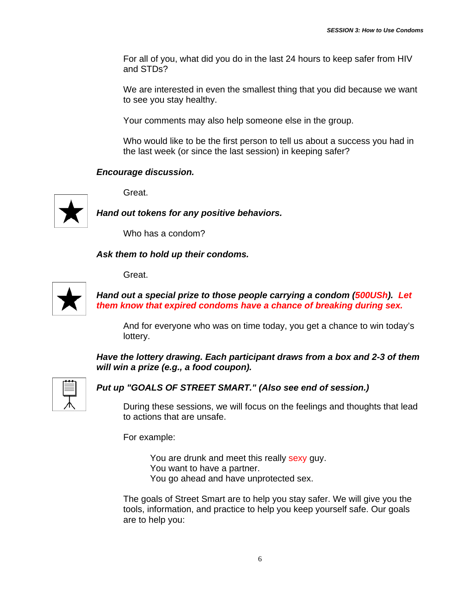For all of you, what did you do in the last 24 hours to keep safer from HIV and STDs?

We are interested in even the smallest thing that you did because we want to see you stay healthy.

Your comments may also help someone else in the group.

Who would like to be the first person to tell us about a success you had in the last week (or since the last session) in keeping safer?

#### *Encourage discussion.*

Great.



*Hand out tokens for any positive behaviors.*

Who has a condom?

*Ask them to hold up their condoms.* 

Great.



*Hand out a special prize to those people carrying a condom (500USh). Let them know that expired condoms have a chance of breaking during sex.*

And for everyone who was on time today, you get a chance to win today's lottery.

*Have the lottery drawing. Each participant draws from a box and 2-3 of them will win a prize (e.g., a food coupon).* 



#### *Put up "GOALS OF STREET SMART." (Also see end of session.)*

During these sessions, we will focus on the feelings and thoughts that lead to actions that are unsafe.

For example:

You are drunk and meet this really sexy guy. You want to have a partner. You go ahead and have unprotected sex.

The goals of Street Smart are to help you stay safer. We will give you the tools, information, and practice to help you keep yourself safe. Our goals are to help you: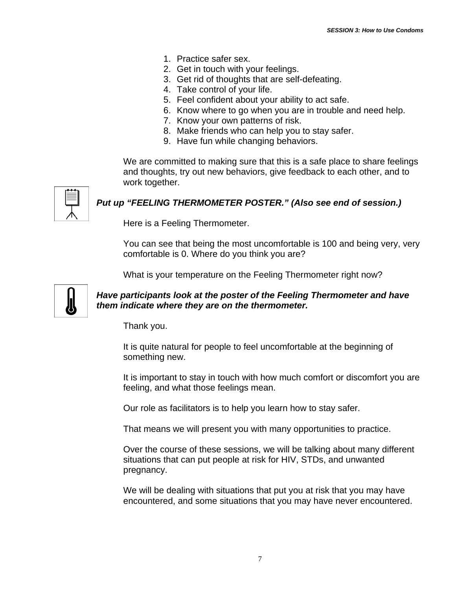- 1. Practice safer sex.
- 2. Get in touch with your feelings.
- 3. Get rid of thoughts that are self-defeating.
- 4. Take control of your life.
- 5. Feel confident about your ability to act safe.
- 6. Know where to go when you are in trouble and need help.
- 7. Know your own patterns of risk.
- 8. Make friends who can help you to stay safer.
- 9. Have fun while changing behaviors.

We are committed to making sure that this is a safe place to share feelings and thoughts, try out new behaviors, give feedback to each other, and to work together.

### *Put up "FEELING THERMOMETER POSTER." (Also see end of session.)*

Here is a Feeling Thermometer.

You can see that being the most uncomfortable is 100 and being very, very comfortable is 0. Where do you think you are?

What is your temperature on the Feeling Thermometer right now?



#### *Have participants look at the poster of the Feeling Thermometer and have them indicate where they are on the thermometer.*

Thank you.

It is quite natural for people to feel uncomfortable at the beginning of something new.

It is important to stay in touch with how much comfort or discomfort you are feeling, and what those feelings mean.

Our role as facilitators is to help you learn how to stay safer.

That means we will present you with many opportunities to practice.

Over the course of these sessions, we will be talking about many different situations that can put people at risk for HIV, STDs, and unwanted pregnancy.

We will be dealing with situations that put you at risk that you may have encountered, and some situations that you may have never encountered.

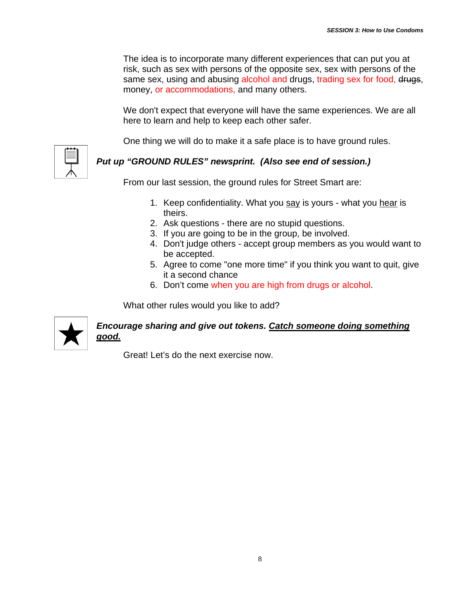The idea is to incorporate many different experiences that can put you at risk, such as sex with persons of the opposite sex, sex with persons of the same sex, using and abusing alcohol and drugs, trading sex for food, drugs, money, or accommodations, and many others.

We don't expect that everyone will have the same experiences. We are all here to learn and help to keep each other safer.

One thing we will do to make it a safe place is to have ground rules.

### *Put up "GROUND RULES" newsprint. (Also see end of session.)*

From our last session, the ground rules for Street Smart are:

- 1. Keep confidentiality. What you say is yours what you hear is theirs.
- 2. Ask questions there are no stupid questions.
- 3. If you are going to be in the group, be involved.
- 4. Don't judge others accept group members as you would want to be accepted.
- 5. Agree to come "one more time" if you think you want to quit, give it a second chance
- 6. Don't come when you are high from drugs or alcohol.

What other rules would you like to add?



#### *Encourage sharing and give out tokens. Catch someone doing something good.*

Great! Let's do the next exercise now.

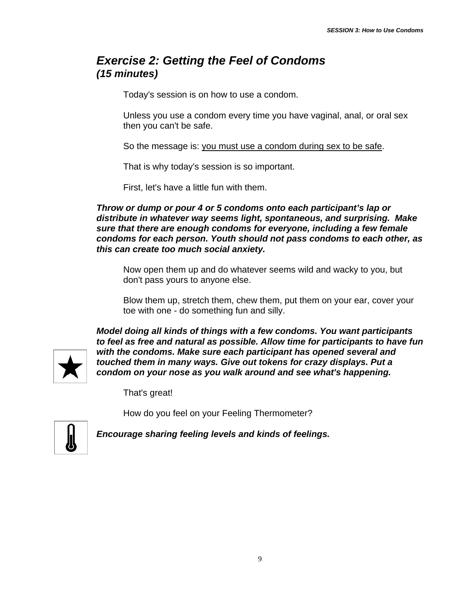# *Exercise 2: Getting the Feel of Condoms (15 minutes)*

Today's session is on how to use a condom.

Unless you use a condom every time you have vaginal, anal, or oral sex then you can't be safe.

So the message is: you must use a condom during sex to be safe.

That is why today's session is so important.

First, let's have a little fun with them.

*Throw or dump or pour 4 or 5 condoms onto each participant's lap or distribute in whatever way seems light, spontaneous, and surprising. Make sure that there are enough condoms for everyone, including a few female condoms for each person. Youth should not pass condoms to each other, as this can create too much social anxiety.*

Now open them up and do whatever seems wild and wacky to you, but don't pass yours to anyone else.

Blow them up, stretch them, chew them, put them on your ear, cover your toe with one - do something fun and silly.



*Model doing all kinds of things with a few condoms. You want participants to feel as free and natural as possible. Allow time for participants to have fun with the condoms. Make sure each participant has opened several and touched them in many ways. Give out tokens for crazy displays. Put a condom on your nose as you walk around and see what's happening.*

That's great!

How do you feel on your Feeling Thermometer?



*Encourage sharing feeling levels and kinds of feelings.*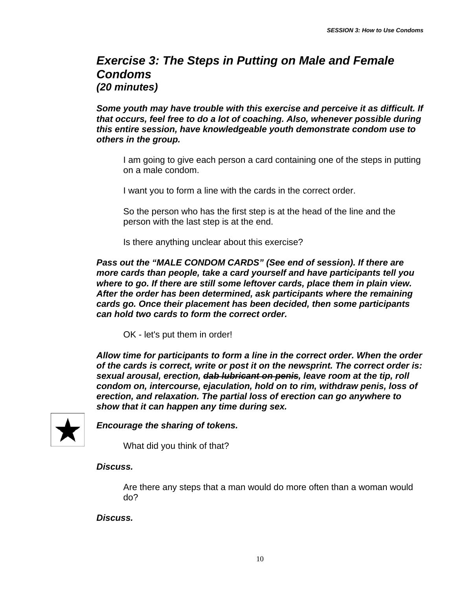## *Exercise 3: The Steps in Putting on Male and Female Condoms (20 minutes)*

*Some youth may have trouble with this exercise and perceive it as difficult. If that occurs, feel free to do a lot of coaching. Also, whenever possible during this entire session, have knowledgeable youth demonstrate condom use to others in the group.* 

I am going to give each person a card containing one of the steps in putting on a male condom.

I want you to form a line with the cards in the correct order.

So the person who has the first step is at the head of the line and the person with the last step is at the end.

Is there anything unclear about this exercise?

*Pass out the "MALE CONDOM CARDS" (See end of session). If there are more cards than people, take a card yourself and have participants tell you where to go. If there are still some leftover cards, place them in plain view. After the order has been determined, ask participants where the remaining cards go. Once their placement has been decided, then some participants can hold two cards to form the correct order.* 

OK - let's put them in order!

*Allow time for participants to form a line in the correct order. When the order of the cards is correct, write or post it on the newsprint. The correct order is: sexual arousal, erection, dab lubricant on penis, leave room at the tip, roll condom on, intercourse, ejaculation, hold on to rim, withdraw penis, loss of erection, and relaxation. The partial loss of erection can go anywhere to show that it can happen any time during sex.* 



*Encourage the sharing of tokens.* 

What did you think of that?

#### *Discuss.*

Are there any steps that a man would do more often than a woman would do?

*Discuss.*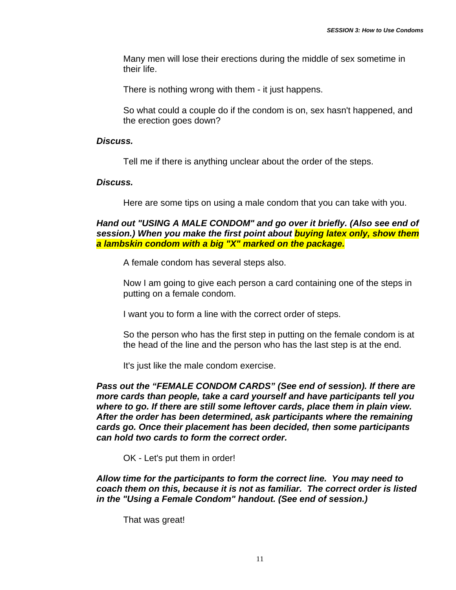Many men will lose their erections during the middle of sex sometime in their life.

There is nothing wrong with them - it just happens.

So what could a couple do if the condom is on, sex hasn't happened, and the erection goes down?

#### *Discuss.*

Tell me if there is anything unclear about the order of the steps.

#### *Discuss.*

Here are some tips on using a male condom that you can take with you.

*Hand out "USING A MALE CONDOM" and go over it briefly. (Also see end of session.) When you make the first point about buying latex only, show them a lambskin condom with a big "X" marked on the package.* 

A female condom has several steps also.

Now I am going to give each person a card containing one of the steps in putting on a female condom.

I want you to form a line with the correct order of steps.

So the person who has the first step in putting on the female condom is at the head of the line and the person who has the last step is at the end.

It's just like the male condom exercise.

*Pass out the "FEMALE CONDOM CARDS" (See end of session). If there are more cards than people, take a card yourself and have participants tell you where to go. If there are still some leftover cards, place them in plain view. After the order has been determined, ask participants where the remaining cards go. Once their placement has been decided, then some participants can hold two cards to form the correct order.* 

OK - Let's put them in order!

*Allow time for the participants to form the correct line. You may need to coach them on this, because it is not as familiar. The correct order is listed in the "Using a Female Condom" handout. (See end of session.)* 

That was great!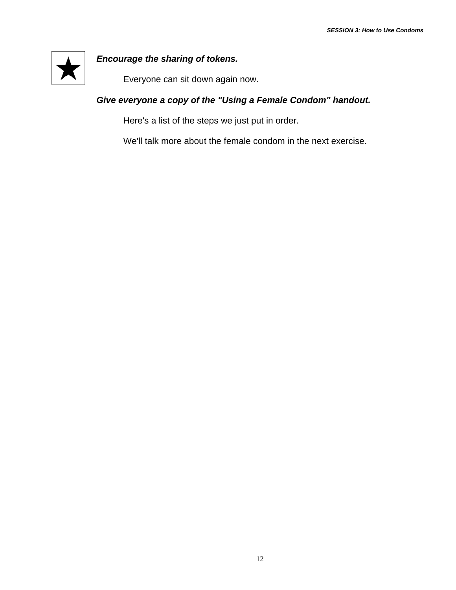

### *Encourage the sharing of tokens.*

Everyone can sit down again now.

#### *Give everyone a copy of the "Using a Female Condom" handout.*

Here's a list of the steps we just put in order.

We'll talk more about the female condom in the next exercise.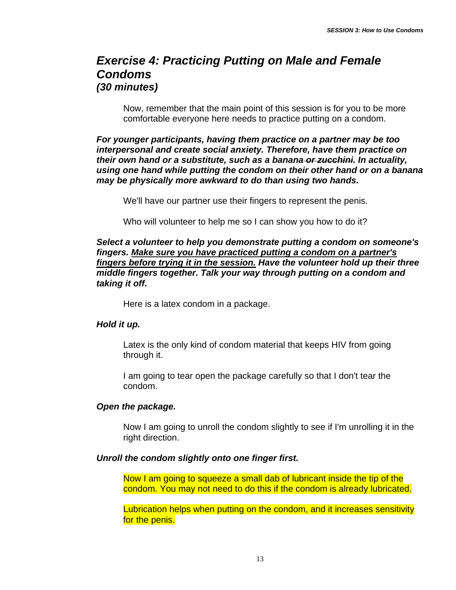### *Exercise 4: Practicing Putting on Male and Female Condoms (30 minutes)*

Now, remember that the main point of this session is for you to be more comfortable everyone here needs to practice putting on a condom.

*For younger participants, having them practice on a partner may be too interpersonal and create social anxiety. Therefore, have them practice on their own hand or a substitute, such as a banana or zucchini. In actuality, using one hand while putting the condom on their other hand or on a banana may be physically more awkward to do than using two hands.* 

We'll have our partner use their fingers to represent the penis.

Who will volunteer to help me so I can show you how to do it?

*Select a volunteer to help you demonstrate putting a condom on someone's fingers. Make sure you have practiced putting a condom on a partner's fingers before trying it in the session. Have the volunteer hold up their three middle fingers together. Talk your way through putting on a condom and taking it off.* 

Here is a latex condom in a package.

#### *Hold it up.*

Latex is the only kind of condom material that keeps HIV from going through it.

I am going to tear open the package carefully so that I don't tear the condom.

#### *Open the package.*

Now I am going to unroll the condom slightly to see if I'm unrolling it in the right direction.

#### *Unroll the condom slightly onto one finger first.*

Now I am going to squeeze a small dab of lubricant inside the tip of the condom. You may not need to do this if the condom is already lubricated.

Lubrication helps when putting on the condom, and it increases sensitivity for the penis.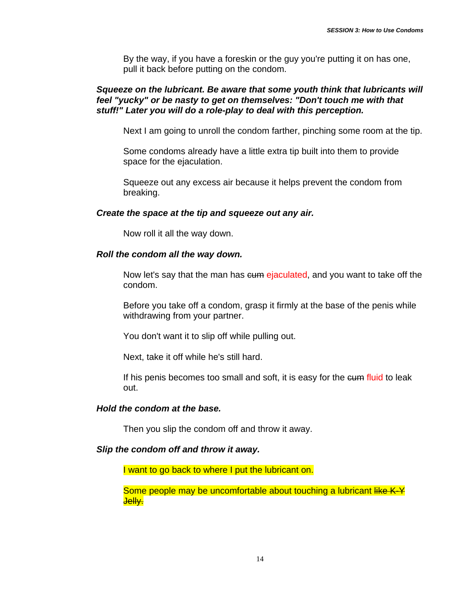By the way, if you have a foreskin or the guy you're putting it on has one, pull it back before putting on the condom.

#### *Squeeze on the lubricant. Be aware that some youth think that lubricants will feel "yucky" or be nasty to get on themselves: "Don't touch me with that stuff!" Later you will do a role-play to deal with this perception.*

Next I am going to unroll the condom farther, pinching some room at the tip.

Some condoms already have a little extra tip built into them to provide space for the ejaculation.

Squeeze out any excess air because it helps prevent the condom from breaking.

#### *Create the space at the tip and squeeze out any air.*

Now roll it all the way down.

#### *Roll the condom all the way down.*

Now let's say that the man has sum ejaculated, and you want to take off the condom.

Before you take off a condom, grasp it firmly at the base of the penis while withdrawing from your partner.

You don't want it to slip off while pulling out.

Next, take it off while he's still hard.

If his penis becomes too small and soft, it is easy for the cum fluid to leak out.

#### *Hold the condom at the base.*

Then you slip the condom off and throw it away.

#### *Slip the condom off and throw it away.*

I want to go back to where I put the lubricant on.

Some people may be uncomfortable about touching a lubricant like K-Y Jelly.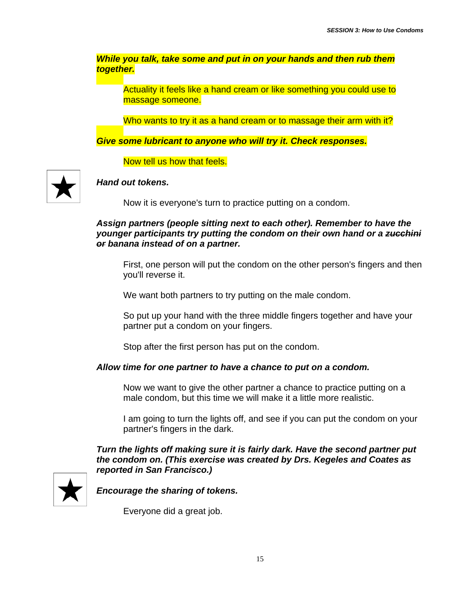*While you talk, take some and put in on your hands and then rub them together.* 

Actuality it feels like a hand cream or like something you could use to massage someone.

Who wants to try it as a hand cream or to massage their arm with it?

*Give some lubricant to anyone who will try it. Check responses.*

Now tell us how that feels.



*Hand out tokens.* 

Now it is everyone's turn to practice putting on a condom.

#### *Assign partners (people sitting next to each other). Remember to have the younger participants try putting the condom on their own hand or a zucchini or banana instead of on a partner.*

First, one person will put the condom on the other person's fingers and then you'll reverse it.

We want both partners to try putting on the male condom.

So put up your hand with the three middle fingers together and have your partner put a condom on your fingers.

Stop after the first person has put on the condom.

#### *Allow time for one partner to have a chance to put on a condom.*

Now we want to give the other partner a chance to practice putting on a male condom, but this time we will make it a little more realistic.

I am going to turn the lights off, and see if you can put the condom on your partner's fingers in the dark.

*Turn the lights off making sure it is fairly dark. Have the second partner put the condom on. (This exercise was created by Drs. Kegeles and Coates as reported in San Francisco.)* 



*Encourage the sharing of tokens.* 

Everyone did a great job.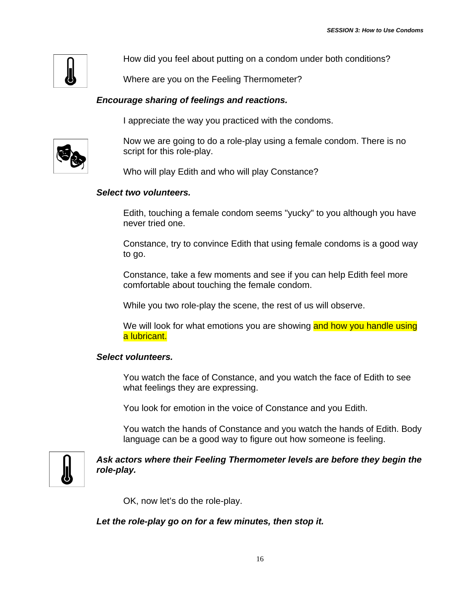How did you feel about putting on a condom under both conditions?

Where are you on the Feeling Thermometer?

#### *Encourage sharing of feelings and reactions.*

I appreciate the way you practiced with the condoms.



Now we are going to do a role-play using a female condom. There is no script for this role-play.

Who will play Edith and who will play Constance?

#### *Select two volunteers.*

Edith, touching a female condom seems "yucky" to you although you have never tried one.

Constance, try to convince Edith that using female condoms is a good way to go.

Constance, take a few moments and see if you can help Edith feel more comfortable about touching the female condom.

While you two role-play the scene, the rest of us will observe.

We will look for what emotions you are showing and how you handle using a lubricant.

#### *Select volunteers.*

You watch the face of Constance, and you watch the face of Edith to see what feelings they are expressing.

You look for emotion in the voice of Constance and you Edith.

You watch the hands of Constance and you watch the hands of Edith. Body language can be a good way to figure out how someone is feeling.



*Ask actors where their Feeling Thermometer levels are before they begin the role-play.*

OK, now let's do the role-play.

*Let the role-play go on for a few minutes, then stop it.*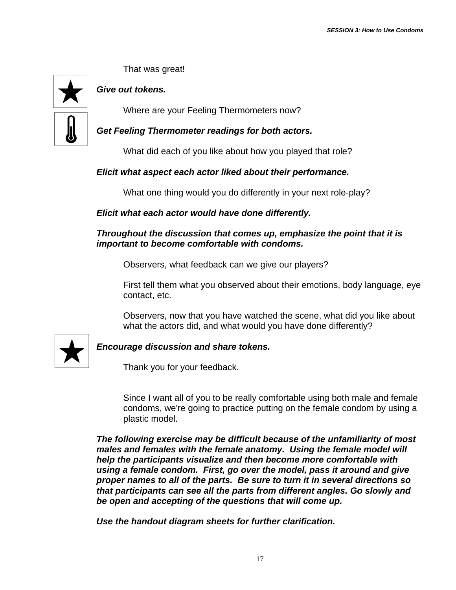That was great!



*Give out tokens.*

Where are your Feeling Thermometers now?

### *Get Feeling Thermometer readings for both actors.*

What did each of you like about how you played that role?

#### *Elicit what aspect each actor liked about their performance.*

What one thing would you do differently in your next role-play?

*Elicit what each actor would have done differently.*

#### *Throughout the discussion that comes up, emphasize the point that it is important to become comfortable with condoms.*

Observers, what feedback can we give our players?

First tell them what you observed about their emotions, body language, eye contact, etc.

Observers, now that you have watched the scene, what did you like about what the actors did, and what would you have done differently?



### *Encourage discussion and share tokens.*

Thank you for your feedback.

Since I want all of you to be really comfortable using both male and female condoms, we're going to practice putting on the female condom by using a plastic model.

*The following exercise may be difficult because of the unfamiliarity of most males and females with the female anatomy. Using the female model will help the participants visualize and then become more comfortable with using a female condom. First, go over the model, pass it around and give proper names to all of the parts. Be sure to turn it in several directions so that participants can see all the parts from different angles. Go slowly and be open and accepting of the questions that will come up.* 

*Use the handout diagram sheets for further clarification.*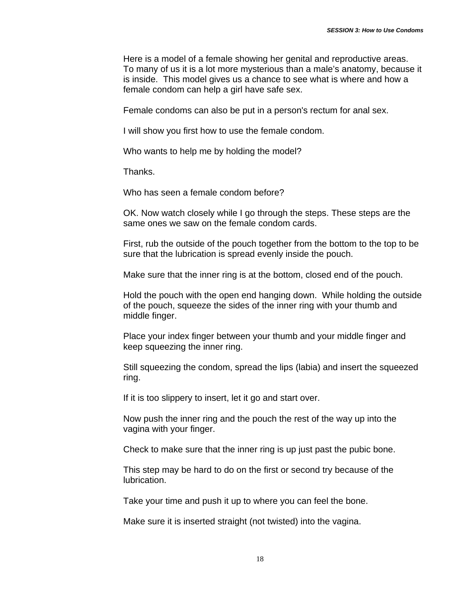Here is a model of a female showing her genital and reproductive areas. To many of us it is a lot more mysterious than a male's anatomy, because it is inside. This model gives us a chance to see what is where and how a female condom can help a girl have safe sex.

Female condoms can also be put in a person's rectum for anal sex.

I will show you first how to use the female condom.

Who wants to help me by holding the model?

Thanks.

Who has seen a female condom before?

OK. Now watch closely while I go through the steps. These steps are the same ones we saw on the female condom cards.

First, rub the outside of the pouch together from the bottom to the top to be sure that the lubrication is spread evenly inside the pouch.

Make sure that the inner ring is at the bottom, closed end of the pouch.

Hold the pouch with the open end hanging down. While holding the outside of the pouch, squeeze the sides of the inner ring with your thumb and middle finger.

Place your index finger between your thumb and your middle finger and keep squeezing the inner ring.

Still squeezing the condom, spread the lips (labia) and insert the squeezed ring.

If it is too slippery to insert, let it go and start over.

Now push the inner ring and the pouch the rest of the way up into the vagina with your finger.

Check to make sure that the inner ring is up just past the pubic bone.

This step may be hard to do on the first or second try because of the lubrication.

Take your time and push it up to where you can feel the bone.

Make sure it is inserted straight (not twisted) into the vagina.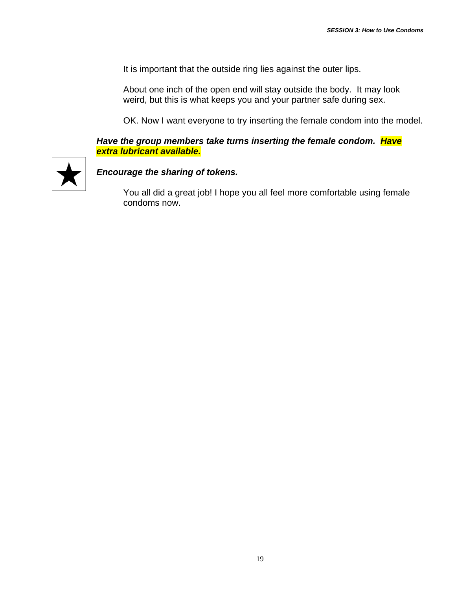It is important that the outside ring lies against the outer lips.

About one inch of the open end will stay outside the body. It may look weird, but this is what keeps you and your partner safe during sex.

OK. Now I want everyone to try inserting the female condom into the model.

#### *Have the group members take turns inserting the female condom. Have extra lubricant available.*



*Encourage the sharing of tokens.* 

You all did a great job! I hope you all feel more comfortable using female condoms now.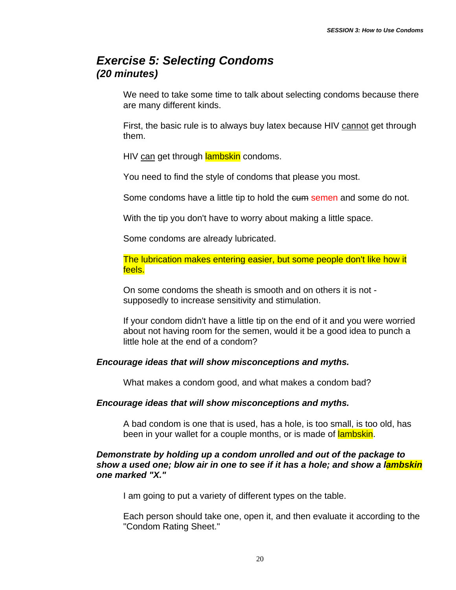# *Exercise 5: Selecting Condoms (20 minutes)*

We need to take some time to talk about selecting condoms because there are many different kinds.

First, the basic rule is to always buy latex because HIV cannot get through them.

HIV can get through lambskin condoms.

You need to find the style of condoms that please you most.

Some condoms have a little tip to hold the eum semen and some do not.

With the tip you don't have to worry about making a little space.

Some condoms are already lubricated.

The lubrication makes entering easier, but some people don't like how it feels.

On some condoms the sheath is smooth and on others it is not supposedly to increase sensitivity and stimulation.

If your condom didn't have a little tip on the end of it and you were worried about not having room for the semen, would it be a good idea to punch a little hole at the end of a condom?

#### *Encourage ideas that will show misconceptions and myths.*

What makes a condom good, and what makes a condom bad?

#### *Encourage ideas that will show misconceptions and myths.*

A bad condom is one that is used, has a hole, is too small, is too old, has been in your wallet for a couple months, or is made of lambskin.

#### *Demonstrate by holding up a condom unrolled and out of the package to show a used one; blow air in one to see if it has a hole; and show a lambskin one marked "X."*

I am going to put a variety of different types on the table.

Each person should take one, open it, and then evaluate it according to the "Condom Rating Sheet."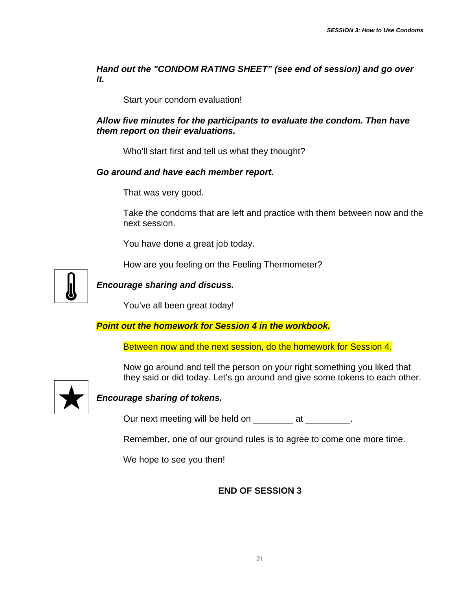*Hand out the "CONDOM RATING SHEET" (see end of session) and go over it.*

Start your condom evaluation!

*Allow five minutes for the participants to evaluate the condom. Then have them report on their evaluations.*

Who'll start first and tell us what they thought?

#### *Go around and have each member report.*

That was very good.

Take the condoms that are left and practice with them between now and the next session.

You have done a great job today.

How are you feeling on the Feeling Thermometer?



*Encourage sharing and discuss.* 

You've all been great today!

*Point out the homework for Session 4 in the workbook.* 

Between now and the next session, do the homework for Session 4.

Now go around and tell the person on your right something you liked that they said or did today. Let's go around and give some tokens to each other.



#### *Encourage sharing of tokens.*

Our next meeting will be held on \_\_\_\_\_\_\_\_ at \_\_\_\_\_\_\_\_.

Remember, one of our ground rules is to agree to come one more time.

We hope to see you then!

#### **END OF SESSION 3**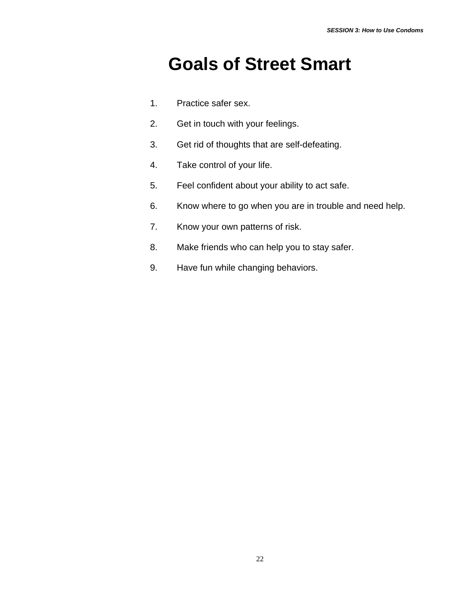# **Goals of Street Smart**

- 1. Practice safer sex.
- 2. Get in touch with your feelings.
- 3. Get rid of thoughts that are self-defeating.
- 4. Take control of your life.
- 5. Feel confident about your ability to act safe.
- 6. Know where to go when you are in trouble and need help.
- 7. Know your own patterns of risk.
- 8. Make friends who can help you to stay safer.
- 9. Have fun while changing behaviors.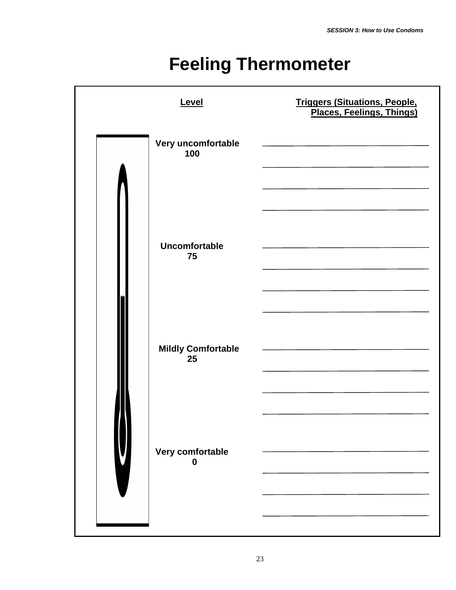# **Feeling Thermometer**

| Level                           | Triggers (Situations, People,<br>Places, Feelings, Things) |  |  |
|---------------------------------|------------------------------------------------------------|--|--|
| Very uncomfortable<br>100       |                                                            |  |  |
| <b>Uncomfortable</b><br>75      |                                                            |  |  |
| <b>Mildly Comfortable</b><br>25 |                                                            |  |  |
| Very comfortable<br>$\bf{0}$    |                                                            |  |  |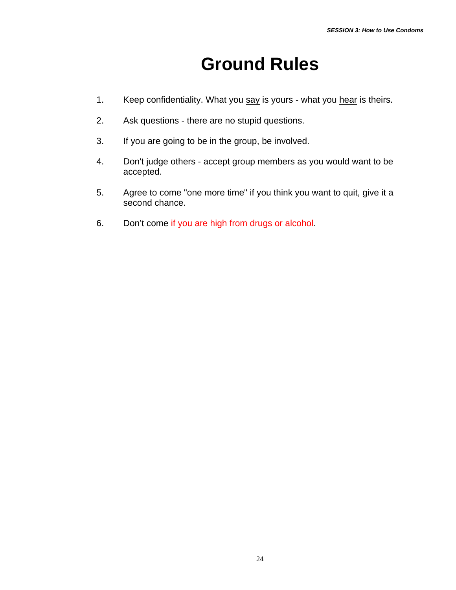# **Ground Rules**

- 1. Keep confidentiality. What you say is yours what you hear is theirs.
- 2. Ask questions there are no stupid questions.
- 3. If you are going to be in the group, be involved.
- 4. Don't judge others accept group members as you would want to be accepted.
- 5. Agree to come "one more time" if you think you want to quit, give it a second chance.
- 6. Don't come if you are high from drugs or alcohol.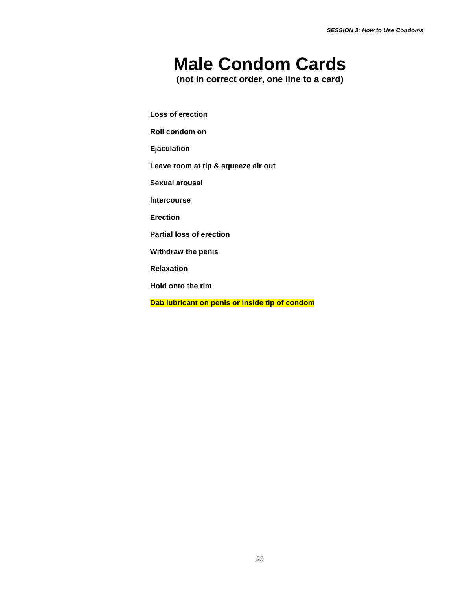# **Male Condom Cards**

**(not in correct order, one line to a card)**

**Loss of erection** 

 **Roll condom on** 

 **Ejaculation** 

 **Leave room at tip & squeeze air out** 

 **Sexual arousal** 

 **Intercourse** 

 **Erection** 

 **Partial loss of erection** 

 **Withdraw the penis** 

 **Relaxation** 

 **Hold onto the rim** 

**Dab lubricant on penis or inside tip of condom**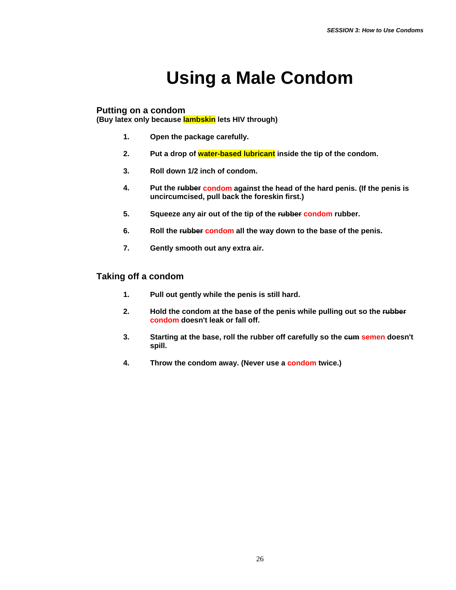# **Using a Male Condom**

#### **Putting on a condom**

**(Buy latex only because lambskin lets HIV through)** 

- **1. Open the package carefully.**
- **2. Put a drop of water-based lubricant inside the tip of the condom.**
- **3. Roll down 1/2 inch of condom.**
- **4. Put the rubber condom against the head of the hard penis. (If the penis is uncircumcised, pull back the foreskin first.)**
- **5. Squeeze any air out of the tip of the rubber condom rubber.**
- **6. Roll the rubber condom all the way down to the base of the penis.**
- **7. Gently smooth out any extra air.**

#### **Taking off a condom**

- **1. Pull out gently while the penis is still hard.**
- **2. Hold the condom at the base of the penis while pulling out so the rubber condom doesn't leak or fall off.**
- **3. Starting at the base, roll the rubber off carefully so the cum semen doesn't spill.**
- **4. Throw the condom away. (Never use a condom twice.)**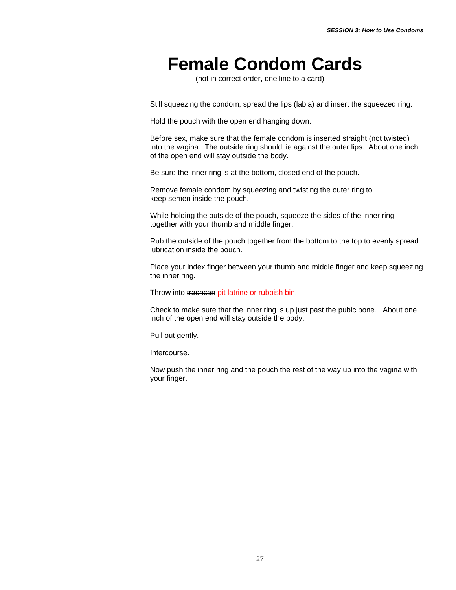# **Female Condom Cards**

(not in correct order, one line to a card)

Still squeezing the condom, spread the lips (labia) and insert the squeezed ring.

Hold the pouch with the open end hanging down.

Before sex, make sure that the female condom is inserted straight (not twisted) into the vagina. The outside ring should lie against the outer lips. About one inch of the open end will stay outside the body.

Be sure the inner ring is at the bottom, closed end of the pouch.

Remove female condom by squeezing and twisting the outer ring to keep semen inside the pouch.

While holding the outside of the pouch, squeeze the sides of the inner ring together with your thumb and middle finger.

Rub the outside of the pouch together from the bottom to the top to evenly spread lubrication inside the pouch.

Place your index finger between your thumb and middle finger and keep squeezing the inner ring.

Throw into trashcan pit latrine or rubbish bin.

Check to make sure that the inner ring is up just past the pubic bone. About one inch of the open end will stay outside the body.

Pull out gently.

Intercourse.

Now push the inner ring and the pouch the rest of the way up into the vagina with your finger.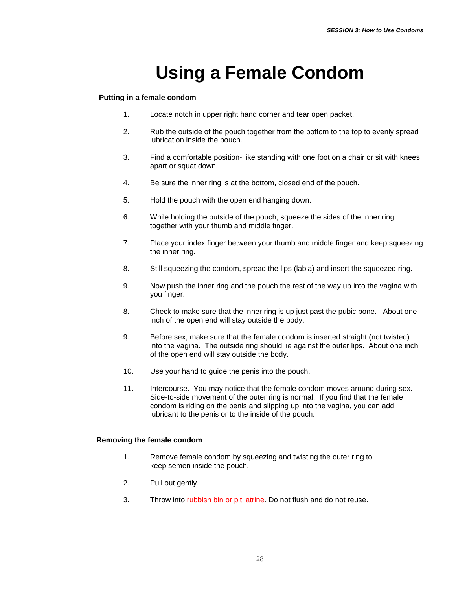# **Using a Female Condom**

#### **Putting in a female condom**

- 1. Locate notch in upper right hand corner and tear open packet.
- 2. Rub the outside of the pouch together from the bottom to the top to evenly spread lubrication inside the pouch.
- 3. Find a comfortable position- like standing with one foot on a chair or sit with knees apart or squat down.
- 4. Be sure the inner ring is at the bottom, closed end of the pouch.
- 5. Hold the pouch with the open end hanging down.
- 6. While holding the outside of the pouch, squeeze the sides of the inner ring together with your thumb and middle finger.
- 7. Place your index finger between your thumb and middle finger and keep squeezing the inner ring.
- 8. Still squeezing the condom, spread the lips (labia) and insert the squeezed ring.
- 9. Now push the inner ring and the pouch the rest of the way up into the vagina with you finger.
- 8. Check to make sure that the inner ring is up just past the pubic bone. About one inch of the open end will stay outside the body.
- 9. Before sex, make sure that the female condom is inserted straight (not twisted) into the vagina. The outside ring should lie against the outer lips. About one inch of the open end will stay outside the body.
- 10. Use your hand to guide the penis into the pouch.
- 11. Intercourse. You may notice that the female condom moves around during sex. Side-to-side movement of the outer ring is normal. If you find that the female condom is riding on the penis and slipping up into the vagina, you can add lubricant to the penis or to the inside of the pouch.

#### **Removing the female condom**

- 1. Remove female condom by squeezing and twisting the outer ring to keep semen inside the pouch.
- 2. Pull out gently.
- 3. Throw into rubbish bin or pit latrine. Do not flush and do not reuse.